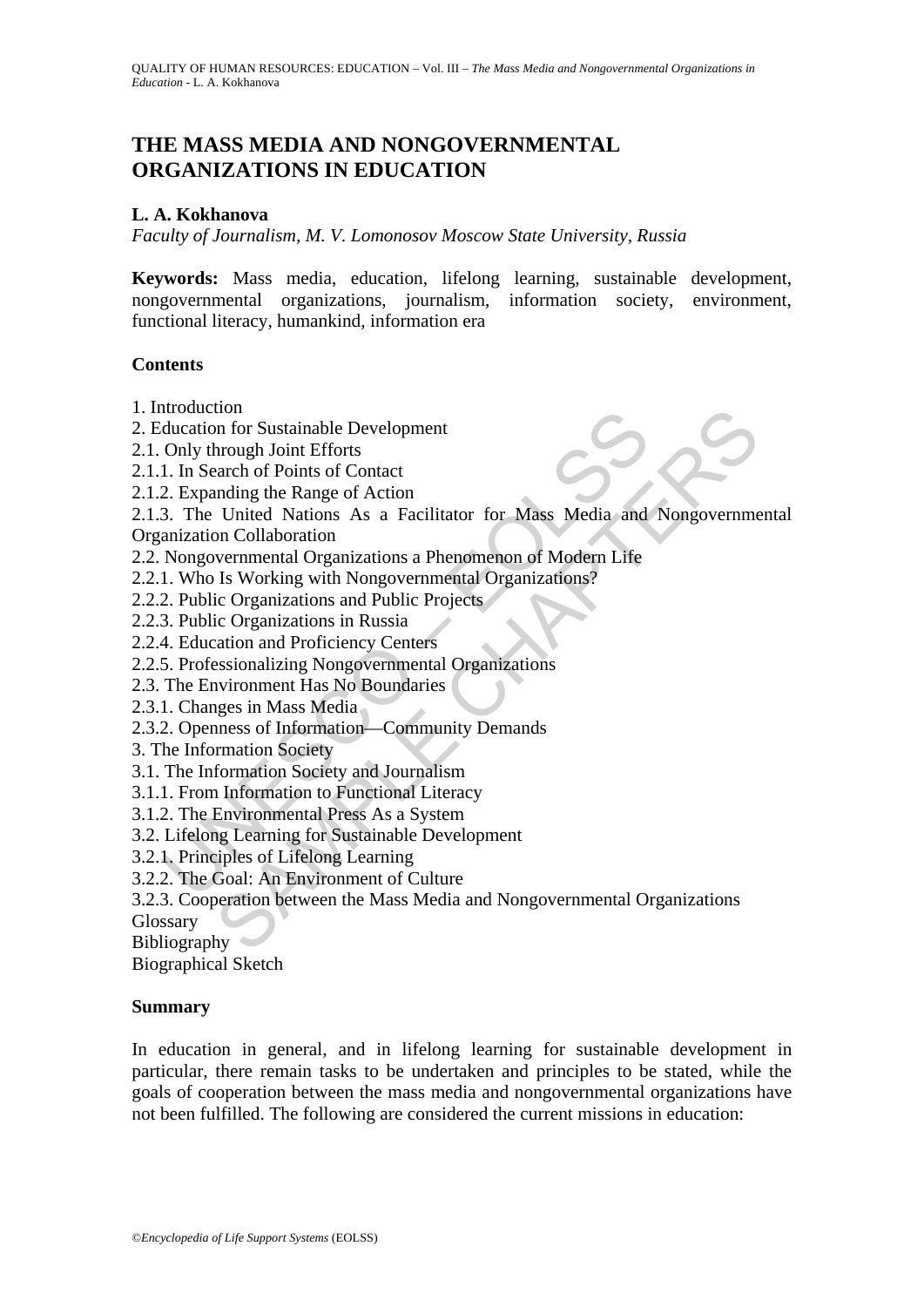# **THE MASS MEDIA AND NONGOVERNMENTAL ORGANIZATIONS IN EDUCATION**

### **L. A. Kokhanova**

*Faculty of Journalism, M. V. Lomonosov Moscow State University, Russia* 

**Keywords:** Mass media, education, lifelong learning, sustainable development, nongovernmental organizations, journalism, information society, environment, functional literacy, humankind, information era

#### **Contents**

- 1. Introduction
- 2. Education for Sustainable Development
- 2.1. Only through Joint Efforts
- 2.1.1. In Search of Points of Contact
- 2.1.2. Expanding the Range of Action
- Induction<br>
ductation for Sustainable Development<br>
Only through Joint Efforts<br>
1. In Search of Points of Contact<br>
2. Expanding the Range of Action<br>
3. The United Nations As a Facilitator for Mass Media and<br>
anaization Colla ton<br>
on for Sustainable Development<br>
hrough Joint Efforts<br>
hrough Joint Efforts<br>
hrough Le Range of Action<br>
United Nations As a Facilitator for Mass Media and Nongovernme<br>
on Collaboration<br>
on Collaboration<br>
is Working wit 2.1.3. The United Nations As a Facilitator for Mass Media and Nongovernmental Organization Collaboration
- 2.2. Nongovernmental Organizations a Phenomenon of Modern Life
- 2.2.1. Who Is Working with Nongovernmental Organizations?
- 2.2.2. Public Organizations and Public Projects
- 2.2.3. Public Organizations in Russia
- 2.2.4. Education and Proficiency Centers
- 2.2.5. Professionalizing Nongovernmental Organizations
- 2.3. The Environment Has No Boundaries
- 2.3.1. Changes in Mass Media
- 2.3.2. Openness of Information—Community Demands
- 3. The Information Society
- 3.1. The Information Society and Journalism
- 3.1.1. From Information to Functional Literacy
- 3.1.2. The Environmental Press As a System
- 3.2. Lifelong Learning for Sustainable Development
- 3.2.1. Principles of Lifelong Learning
- 3.2.2. The Goal: An Environment of Culture
- 3.2.3. Cooperation between the Mass Media and Nongovernmental Organizations

Glossary

Bibliography

Biographical Sketch

#### **Summary**

In education in general, and in lifelong learning for sustainable development in particular, there remain tasks to be undertaken and principles to be stated, while the goals of cooperation between the mass media and nongovernmental organizations have not been fulfilled. The following are considered the current missions in education: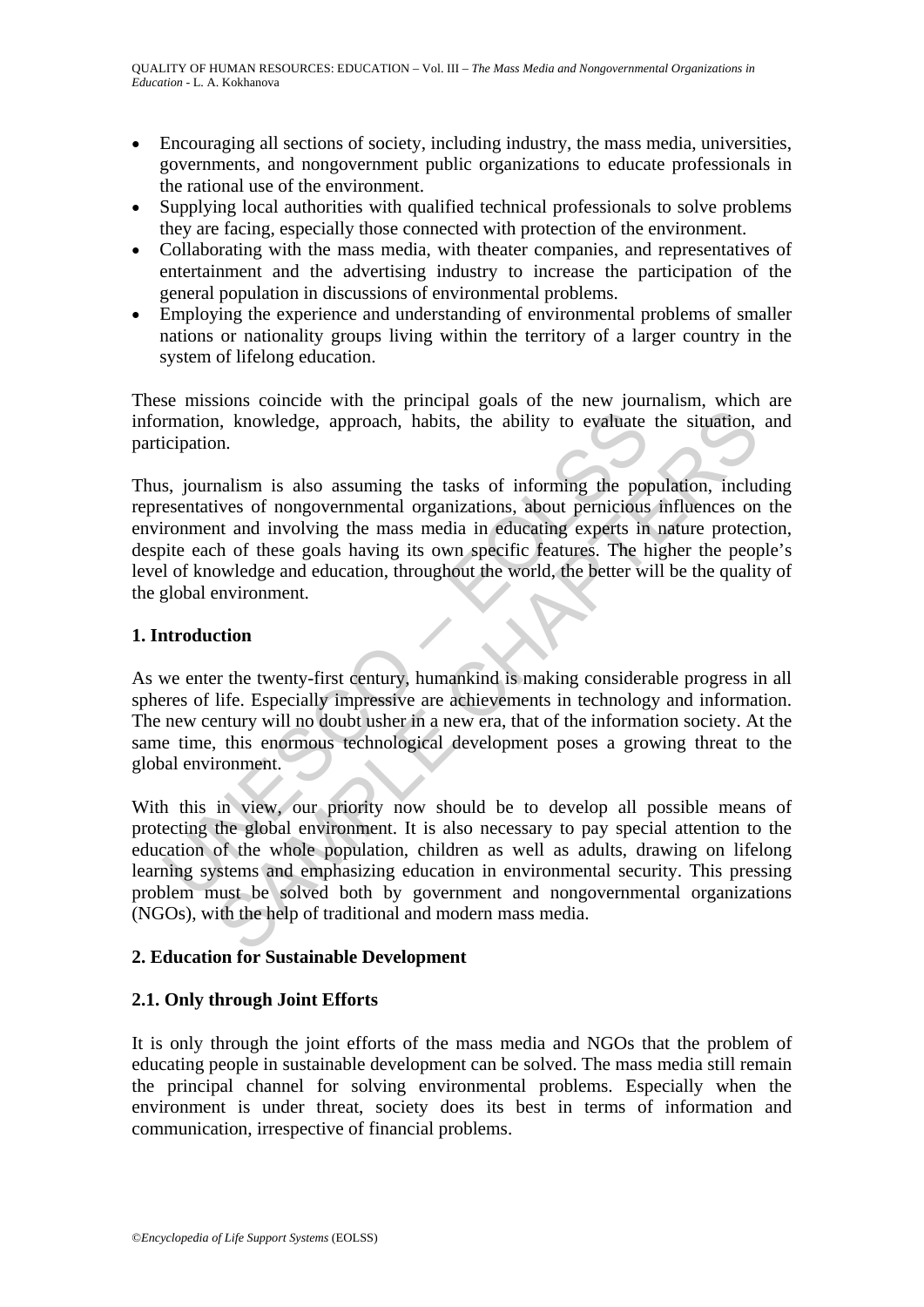- Encouraging all sections of society, including industry, the mass media, universities, governments, and nongovernment public organizations to educate professionals in the rational use of the environment.
- Supplying local authorities with qualified technical professionals to solve problems they are facing, especially those connected with protection of the environment.
- Collaborating with the mass media, with theater companies, and representatives of entertainment and the advertising industry to increase the participation of the general population in discussions of environmental problems.
- Employing the experience and understanding of environmental problems of smaller nations or nationality groups living within the territory of a larger country in the system of lifelong education.

These missions coincide with the principal goals of the new journalism, which are information, knowledge, approach, habits, the ability to evaluate the situation, and participation.

rmation, knowledge, approach, habits, the ability to evaluate<br>icipation.<br>s, journalism is also assuming the tasks of informing the pote-<br>essentatives of nongovernmental organizations, about periodios<br>rromment and involving Thus, journalism is also assuming the tasks of informing the population, including representatives of nongovernmental organizations, about pernicious influences on the environment and involving the mass media in educating experts in nature protection, despite each of these goals having its own specific features. The higher the people's level of knowledge and education, throughout the world, the better will be the quality of the global environment.

# **1. Introduction**

As we enter the twenty-first century, humankind is making considerable progress in all spheres of life. Especially impressive are achievements in technology and information. The new century will no doubt usher in a new era, that of the information society. At the same time, this enormous technological development poses a growing threat to the global environment.

In the movement and moreover and moreover and moreover and moreover and the simulation.<br>
An knowledge, approach, habits, the ability to evaluate the situation,<br>
analism is also assuming the tasks of informing the populatio With this in view, our priority now should be to develop all possible means of protecting the global environment. It is also necessary to pay special attention to the education of the whole population, children as well as adults, drawing on lifelong learning systems and emphasizing education in environmental security. This pressing problem must be solved both by government and nongovernmental organizations (NGOs), with the help of traditional and modern mass media.

# **2. Education for Sustainable Development**

# **2.1. Only through Joint Efforts**

It is only through the joint efforts of the mass media and NGOs that the problem of educating people in sustainable development can be solved. The mass media still remain the principal channel for solving environmental problems. Especially when the environment is under threat, society does its best in terms of information and communication, irrespective of financial problems.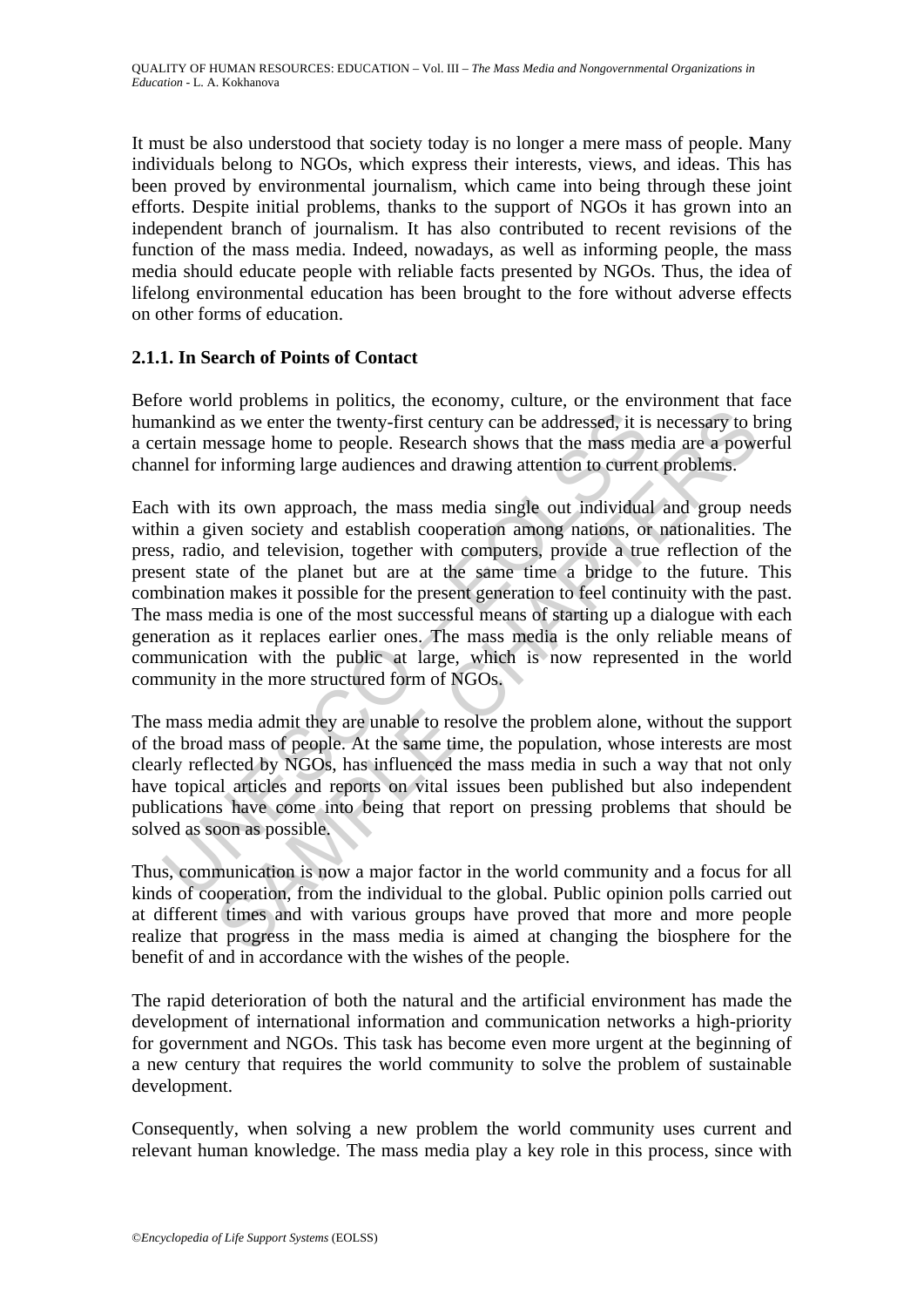It must be also understood that society today is no longer a mere mass of people. Many individuals belong to NGOs, which express their interests, views, and ideas. This has been proved by environmental journalism, which came into being through these joint efforts. Despite initial problems, thanks to the support of NGOs it has grown into an independent branch of journalism. It has also contributed to recent revisions of the function of the mass media. Indeed, nowadays, as well as informing people, the mass media should educate people with reliable facts presented by NGOs. Thus, the idea of lifelong environmental education has been brought to the fore without adverse effects on other forms of education.

# **2.1.1. In Search of Points of Contact**

Before world problems in politics, the economy, culture, or the environment that face humankind as we enter the twenty-first century can be addressed, it is necessary to bring a certain message home to people. Research shows that the mass media are a powerful channel for informing large audiences and drawing attention to current problems.

nankind as we enter the twenty-first century can be addressed, it is<br>train message home to people. Research shows that the mass me<br>mel for informing large audiences and drawing attention to curren<br>h with its own approach, Experience in power of the word of the world of the same of the time and we present the twenty-first century can be addressed, it is incressary to be assage home to people. Research shows that the mass media are a power in Each with its own approach, the mass media single out individual and group needs within a given society and establish cooperation among nations, or nationalities. The press, radio, and television, together with computers, provide a true reflection of the present state of the planet but are at the same time a bridge to the future. This combination makes it possible for the present generation to feel continuity with the past. The mass media is one of the most successful means of starting up a dialogue with each generation as it replaces earlier ones. The mass media is the only reliable means of communication with the public at large, which is now represented in the world community in the more structured form of NGOs.

The mass media admit they are unable to resolve the problem alone, without the support of the broad mass of people. At the same time, the population, whose interests are most clearly reflected by NGOs, has influenced the mass media in such a way that not only have topical articles and reports on vital issues been published but also independent publications have come into being that report on pressing problems that should be solved as soon as possible.

Thus, communication is now a major factor in the world community and a focus for all kinds of cooperation, from the individual to the global. Public opinion polls carried out at different times and with various groups have proved that more and more people realize that progress in the mass media is aimed at changing the biosphere for the benefit of and in accordance with the wishes of the people.

The rapid deterioration of both the natural and the artificial environment has made the development of international information and communication networks a high-priority for government and NGOs. This task has become even more urgent at the beginning of a new century that requires the world community to solve the problem of sustainable development.

Consequently, when solving a new problem the world community uses current and relevant human knowledge. The mass media play a key role in this process, since with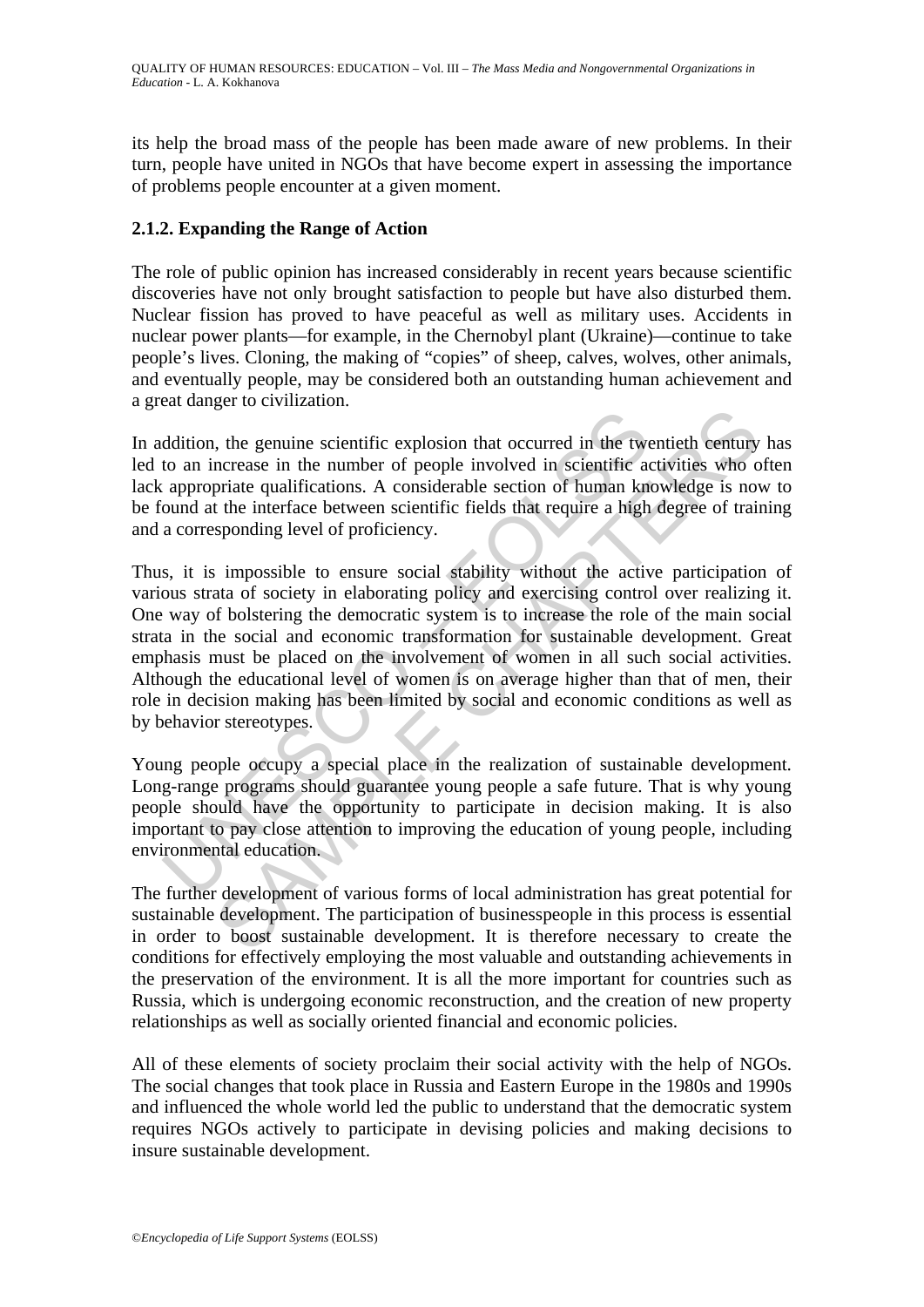its help the broad mass of the people has been made aware of new problems. In their turn, people have united in NGOs that have become expert in assessing the importance of problems people encounter at a given moment.

#### **2.1.2. Expanding the Range of Action**

The role of public opinion has increased considerably in recent years because scientific discoveries have not only brought satisfaction to people but have also disturbed them. Nuclear fission has proved to have peaceful as well as military uses. Accidents in nuclear power plants—for example, in the Chernobyl plant (Ukraine)—continue to take people's lives. Cloning, the making of "copies" of sheep, calves, wolves, other animals, and eventually people, may be considered both an outstanding human achievement and a great danger to civilization.

In addition, the genuine scientific explosion that occurred in the twentieth century has led to an increase in the number of people involved in scientific activities who often lack appropriate qualifications. A considerable section of human knowledge is now to be found at the interface between scientific fields that require a high degree of training and a corresponding level of proficiency.

ddition, the genuine scientific explosion that occurred in the two<br>to an increase in the number of people involved in scientific ac<br>appropriate qualifications. A considerable section of human kn<br>ound at the interface betwe Let be entimated to the semific explosion that occurred in the twentieth century<br>normalism more case in the number of people involved in scientific activities who correate in the number of people involved in scientific act Thus, it is impossible to ensure social stability without the active participation of various strata of society in elaborating policy and exercising control over realizing it. One way of bolstering the democratic system is to increase the role of the main social strata in the social and economic transformation for sustainable development. Great emphasis must be placed on the involvement of women in all such social activities. Although the educational level of women is on average higher than that of men, their role in decision making has been limited by social and economic conditions as well as by behavior stereotypes.

Young people occupy a special place in the realization of sustainable development. Long-range programs should guarantee young people a safe future. That is why young people should have the opportunity to participate in decision making. It is also important to pay close attention to improving the education of young people, including environmental education.

The further development of various forms of local administration has great potential for sustainable development. The participation of businesspeople in this process is essential in order to boost sustainable development. It is therefore necessary to create the conditions for effectively employing the most valuable and outstanding achievements in the preservation of the environment. It is all the more important for countries such as Russia, which is undergoing economic reconstruction, and the creation of new property relationships as well as socially oriented financial and economic policies.

All of these elements of society proclaim their social activity with the help of NGOs. The social changes that took place in Russia and Eastern Europe in the 1980s and 1990s and influenced the whole world led the public to understand that the democratic system requires NGOs actively to participate in devising policies and making decisions to insure sustainable development.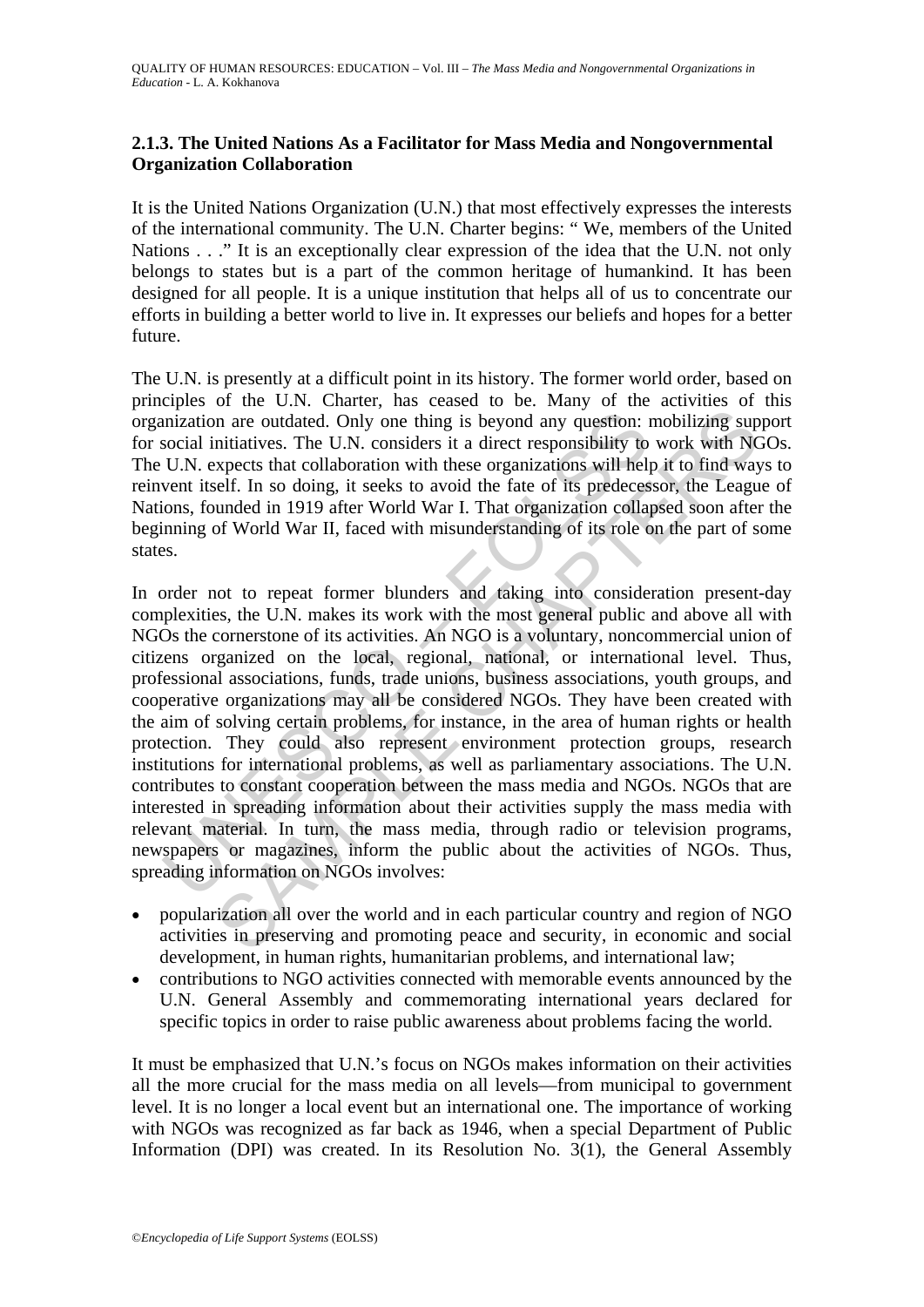# **2.1.3. The United Nations As a Facilitator for Mass Media and Nongovernmental Organization Collaboration**

It is the United Nations Organization (U.N.) that most effectively expresses the interests of the international community. The U.N. Charter begins: " We, members of the United Nations . . ." It is an exceptionally clear expression of the idea that the U.N. not only belongs to states but is a part of the common heritage of humankind. It has been designed for all people. It is a unique institution that helps all of us to concentrate our efforts in building a better world to live in. It expresses our beliefs and hopes for a better future.

The U.N. is presently at a difficult point in its history. The former world order, based on principles of the U.N. Charter, has ceased to be. Many of the activities of this organization are outdated. Only one thing is beyond any question: mobilizing support for social initiatives. The U.N. considers it a direct responsibility to work with NGOs. The U.N. expects that collaboration with these organizations will help it to find ways to reinvent itself. In so doing, it seeks to avoid the fate of its predecessor, the League of Nations, founded in 1919 after World War I. That organization collapsed soon after the beginning of World War II, faced with misunderstanding of its role on the part of some states.

inization are outdated. Only one thing is beyond any question: noisocial initiatives. The U.N. considers it a direct responsibility to U.N. expects that collaboration with these organizations will hell yent itself. In so d In a re outdated. Only one thing is beyond any question: mobilizing sup<br>mitiatives. The U.N. considers it a direct responsibility to work with NC<br>xpects that collaboration with these organizations will help it to form way<br> In order not to repeat former blunders and taking into consideration present-day complexities, the U.N. makes its work with the most general public and above all with NGOs the cornerstone of its activities. An NGO is a voluntary, noncommercial union of citizens organized on the local, regional, national, or international level. Thus, professional associations, funds, trade unions, business associations, youth groups, and cooperative organizations may all be considered NGOs. They have been created with the aim of solving certain problems, for instance, in the area of human rights or health protection. They could also represent environment protection groups, research institutions for international problems, as well as parliamentary associations. The U.N. contributes to constant cooperation between the mass media and NGOs. NGOs that are interested in spreading information about their activities supply the mass media with relevant material. In turn, the mass media, through radio or television programs, newspapers or magazines, inform the public about the activities of NGOs. Thus, spreading information on NGOs involves:

- popularization all over the world and in each particular country and region of NGO activities in preserving and promoting peace and security, in economic and social development, in human rights, humanitarian problems, and international law;
- contributions to NGO activities connected with memorable events announced by the U.N. General Assembly and commemorating international years declared for specific topics in order to raise public awareness about problems facing the world.

It must be emphasized that U.N.'s focus on NGOs makes information on their activities all the more crucial for the mass media on all levels—from municipal to government level. It is no longer a local event but an international one. The importance of working with NGOs was recognized as far back as 1946, when a special Department of Public Information (DPI) was created. In its Resolution No. 3(1), the General Assembly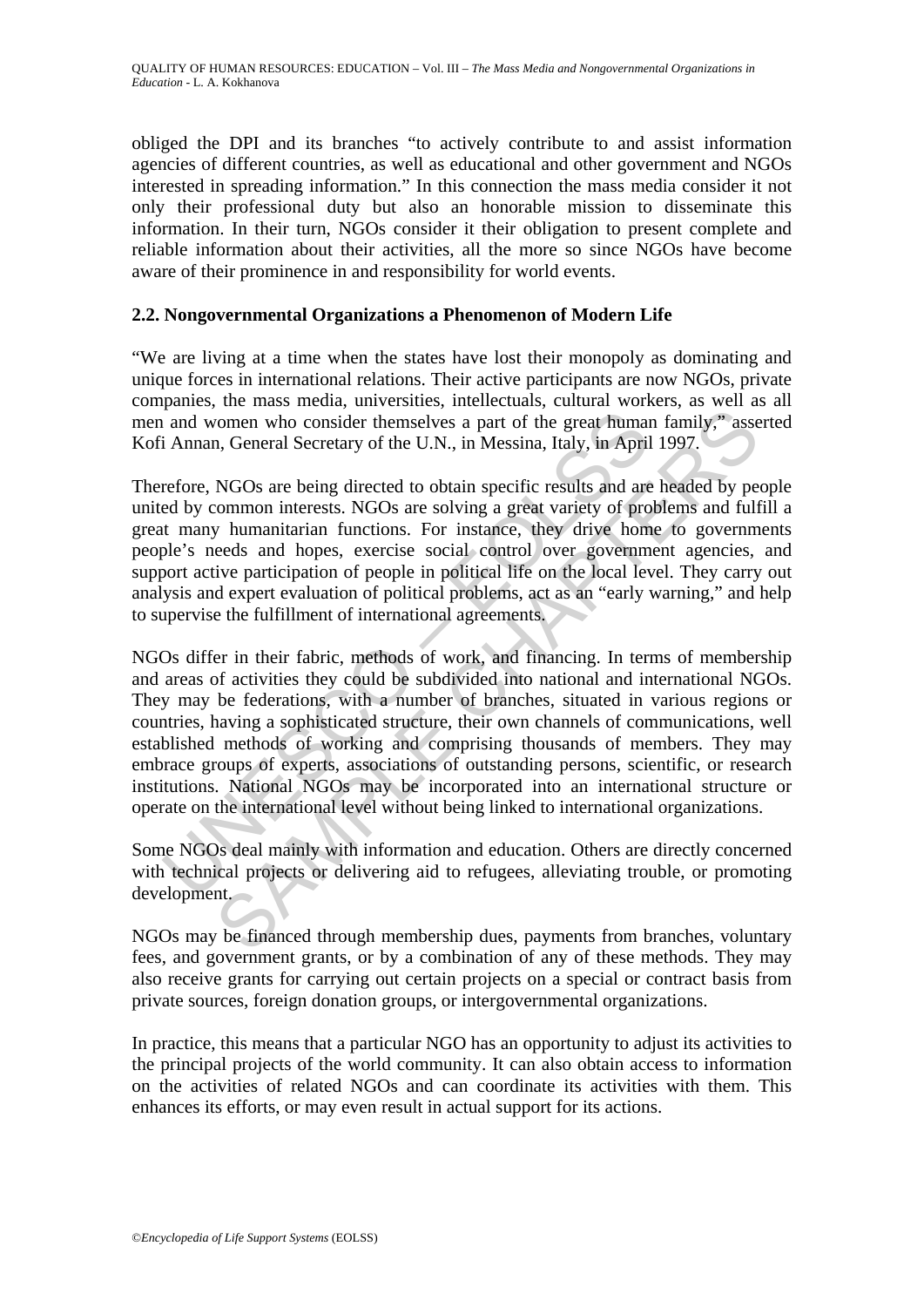obliged the DPI and its branches "to actively contribute to and assist information agencies of different countries, as well as educational and other government and NGOs interested in spreading information." In this connection the mass media consider it not only their professional duty but also an honorable mission to disseminate this information. In their turn, NGOs consider it their obligation to present complete and reliable information about their activities, all the more so since NGOs have become aware of their prominence in and responsibility for world events.

### **2.2. Nongovernmental Organizations a Phenomenon of Modern Life**

"We are living at a time when the states have lost their monopoly as dominating and unique forces in international relations. Their active participants are now NGOs, private companies, the mass media, universities, intellectuals, cultural workers, as well as all men and women who consider themselves a part of the great human family," asserted Kofi Annan, General Secretary of the U.N., in Messina, Italy, in April 1997.

Therefore, NGOs are being directed to obtain specific results and are headed by people united by common interests. NGOs are solving a great variety of problems and fulfill a great many humanitarian functions. For instance, they drive home to governments people's needs and hopes, exercise social control over government agencies, and support active participation of people in political life on the local level. They carry out analysis and expert evaluation of political problems, act as an "early warning," and help to supervise the fulfillment of international agreements.

and women who consider themselves a part of the great human<br>i Annan, General Secretary of the U.N., in Messina, Italy, in April<br>refore, NGOs are being directed to obtain specific results and are<br>ed by common interests. NGO So the mass mean through members a part of the great human family,<sup>2</sup> assessment who consider themselves a part of the great human family,<sup>2</sup> assess, n, General Secretary of the U.N., in Messina, Italy, in April 1997.<br>NGO NGOs differ in their fabric, methods of work, and financing. In terms of membership and areas of activities they could be subdivided into national and international NGOs. They may be federations, with a number of branches, situated in various regions or countries, having a sophisticated structure, their own channels of communications, well established methods of working and comprising thousands of members. They may embrace groups of experts, associations of outstanding persons, scientific, or research institutions. National NGOs may be incorporated into an international structure or operate on the international level without being linked to international organizations.

Some NGOs deal mainly with information and education. Others are directly concerned with technical projects or delivering aid to refugees, alleviating trouble, or promoting development.

NGOs may be financed through membership dues, payments from branches, voluntary fees, and government grants, or by a combination of any of these methods. They may also receive grants for carrying out certain projects on a special or contract basis from private sources, foreign donation groups, or intergovernmental organizations.

In practice, this means that a particular NGO has an opportunity to adjust its activities to the principal projects of the world community. It can also obtain access to information on the activities of related NGOs and can coordinate its activities with them. This enhances its efforts, or may even result in actual support for its actions.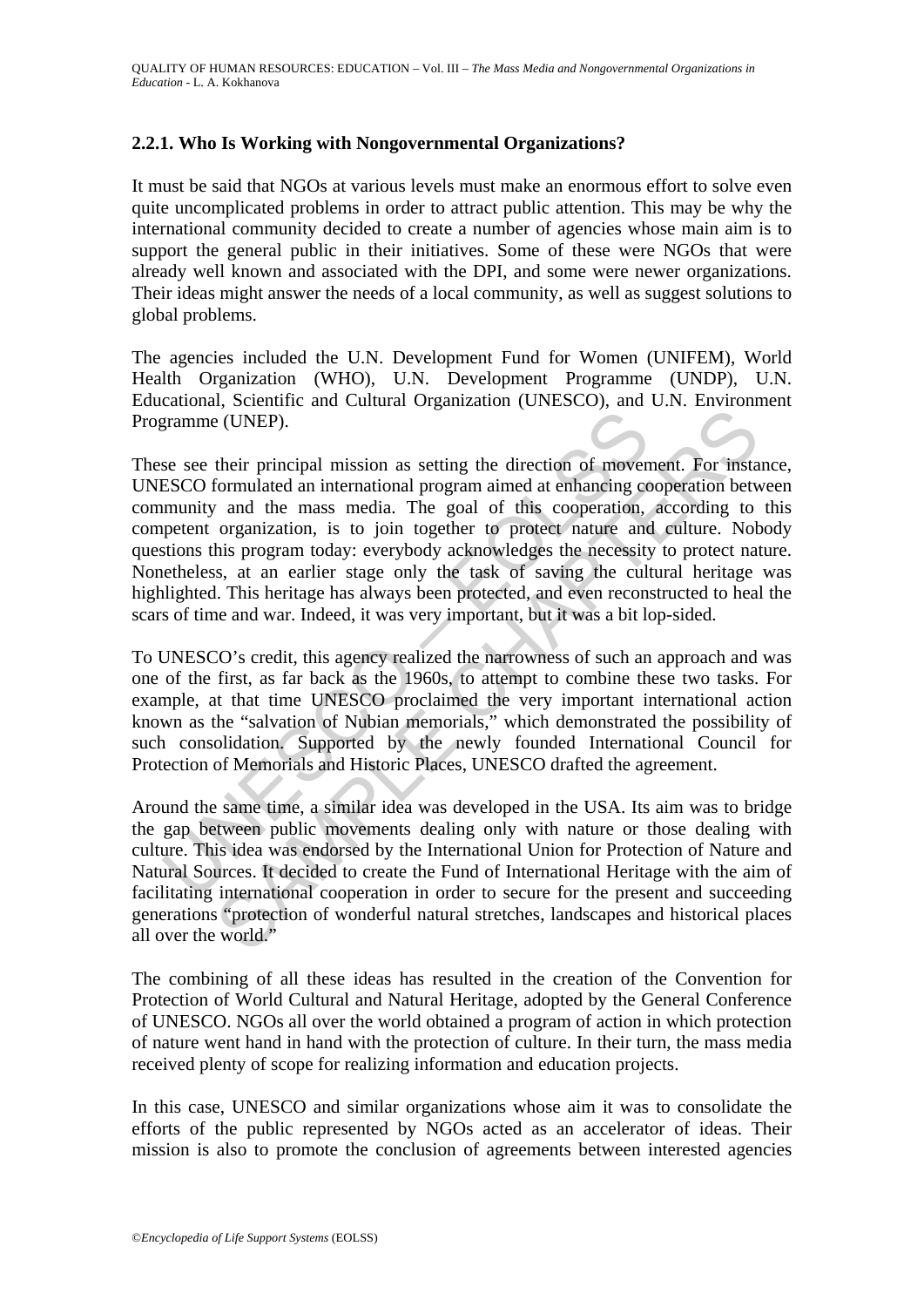### **2.2.1. Who Is Working with Nongovernmental Organizations?**

It must be said that NGOs at various levels must make an enormous effort to solve even quite uncomplicated problems in order to attract public attention. This may be why the international community decided to create a number of agencies whose main aim is to support the general public in their initiatives. Some of these were NGOs that were already well known and associated with the DPI, and some were newer organizations. Their ideas might answer the needs of a local community, as well as suggest solutions to global problems.

The agencies included the U.N. Development Fund for Women (UNIFEM), World Health Organization (WHO), U.N. Development Programme (UNDP), U.N. Educational, Scientific and Cultural Organization (UNESCO), and U.N. Environment Programme (UNEP).

gramme (UNEP).<br>
se see their principal mission as setting the direction of movements<br>
ESCO formulated an international program aimed at enhancing ce<br>
ESCO formulated an international program aimed at enhancing ce<br>
secondar (UNEP).<br>
(CIVIST).<br>
their principal mission as setting the direction of movement. For instantonulated an international program aimed at enhancing cooperation between that the mass media. The goal of this cooperation, accor These see their principal mission as setting the direction of movement. For instance, UNESCO formulated an international program aimed at enhancing cooperation between community and the mass media. The goal of this cooperation, according to this competent organization, is to join together to protect nature and culture. Nobody questions this program today: everybody acknowledges the necessity to protect nature. Nonetheless, at an earlier stage only the task of saving the cultural heritage was highlighted. This heritage has always been protected, and even reconstructed to heal the scars of time and war. Indeed, it was very important, but it was a bit lop-sided.

To UNESCO's credit, this agency realized the narrowness of such an approach and was one of the first, as far back as the 1960s, to attempt to combine these two tasks. For example, at that time UNESCO proclaimed the very important international action known as the "salvation of Nubian memorials," which demonstrated the possibility of such consolidation. Supported by the newly founded International Council for Protection of Memorials and Historic Places, UNESCO drafted the agreement.

Around the same time, a similar idea was developed in the USA. Its aim was to bridge the gap between public movements dealing only with nature or those dealing with culture. This idea was endorsed by the International Union for Protection of Nature and Natural Sources. It decided to create the Fund of International Heritage with the aim of facilitating international cooperation in order to secure for the present and succeeding generations "protection of wonderful natural stretches, landscapes and historical places all over the world."

The combining of all these ideas has resulted in the creation of the Convention for Protection of World Cultural and Natural Heritage, adopted by the General Conference of UNESCO. NGOs all over the world obtained a program of action in which protection of nature went hand in hand with the protection of culture. In their turn, the mass media received plenty of scope for realizing information and education projects.

In this case, UNESCO and similar organizations whose aim it was to consolidate the efforts of the public represented by NGOs acted as an accelerator of ideas. Their mission is also to promote the conclusion of agreements between interested agencies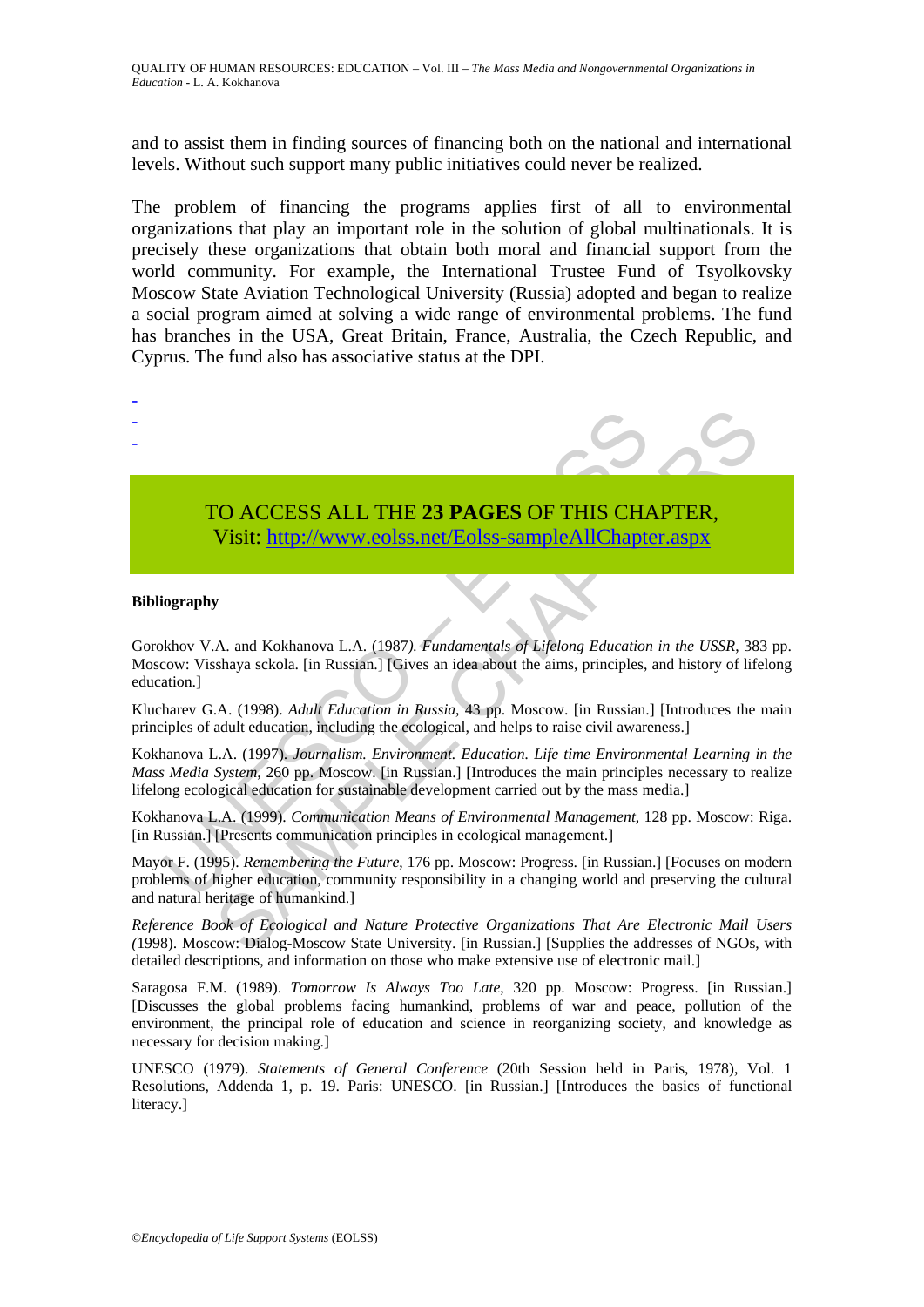and to assist them in finding sources of financing both on the national and international levels. Without such support many public initiatives could never be realized.

The problem of financing the programs applies first of all to environmental organizations that play an important role in the solution of global multinationals. It is precisely these organizations that obtain both moral and financial support from the world community. For example, the International Trustee Fund of Tsyolkovsky Moscow State Aviation Technological University (Russia) adopted and began to realize a social program aimed at solving a wide range of environmental problems. The fund has branches in the USA, Great Britain, France, Australia, the Czech Republic, and Cyprus. The fund also has associative status at the DPI.



# TO ACCESS ALL THE **23 PAGES** OF THIS CHAPTER, Visit: http://www.eolss.net/Eolss-sampleAllChapter.aspx

#### **Bibliography**

TO ACCESS ALL THE 23 PAGES OF THIS CHANNED Visit: http://www.eolss.net/Eolss-sampleAllChapte<br>
Visit: http://www.eolss.net/Eolss-sampleAllChapte<br>
iography<br>
iography<br>
behov V.A. and Kokhanova L.A. (1987). *Fundamentals of Li* Gorokhov V.A. and Kokhanova L.A. (1987*). Fundamentals of Lifelong Education in the USSR*, 383 pp. Moscow: Visshaya sckola. [in Russian.] [Gives an idea about the aims, principles, and history of lifelong education.]

Klucharev G.A. (1998). *Adult Education in Russia*, 43 pp. Moscow. [in Russian.] [Introduces the main principles of adult education, including the ecological, and helps to raise civil awareness.]

Kokhanova L.A. (1997). *Journalism. Environment. Education. Life time Environmental Learning in the Mass Media System*, 260 pp. Moscow. [in Russian.] [Introduces the main principles necessary to realize lifelong ecological education for sustainable development carried out by the mass media.]

Kokhanova L.A. (1999). *Communication Means of Environmental Management*, 128 pp. Moscow: Riga. [in Russian.] [Presents communication principles in ecological management.]

CO ACCESS ALL THE 23 PAGES OF THIS CHA[PTE](https://www.eolss.net/ebooklib/sc_cart.aspx?File=E1-12-05-05)R,<br>
Visit:  $\frac{http://www.eolss.net/Eolss-sampleAllChapter, says}$ <br>
Visit:  $\frac{http://www.eolss.net/Eolss-sampleAllChapter, says}$ <br>
A. and Kokhanova L.A. (1987). *Fundamentals of Ligelong Education in the USSR*, 38<br>
shaya sckola. [in Russian.] [G Mayor F. (1995). *Remembering the Future*, 176 pp. Moscow: Progress. [in Russian.] [Focuses on modern problems of higher education, community responsibility in a changing world and preserving the cultural and natural heritage of humankind.]

*Reference Book of Ecological and Nature Protective Organizations That Are Electronic Mail Users (*1998). Moscow: Dialog-Moscow State University. [in Russian.] [Supplies the addresses of NGOs, with detailed descriptions, and information on those who make extensive use of electronic mail.]

Saragosa F.M. (1989). *Tomorrow Is Always Too Late*, 320 pp. Moscow: Progress. [in Russian.] [Discusses the global problems facing humankind, problems of war and peace, pollution of the environment, the principal role of education and science in reorganizing society, and knowledge as necessary for decision making.]

UNESCO (1979). *Statements of General Conference* (20th Session held in Paris, 1978), Vol. 1 Resolutions, Addenda 1, p. 19. Paris: UNESCO. [in Russian.] [Introduces the basics of functional literacy.]